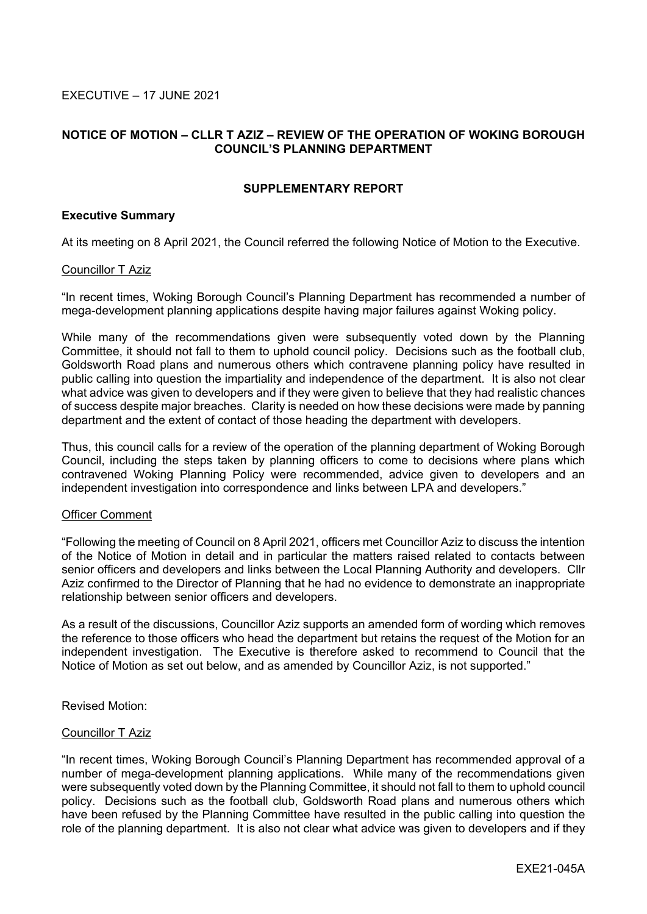EXECUTIVE – 17 JUNE 2021

# **NOTICE OF MOTION – CLLR T AZIZ – REVIEW OF THE OPERATION OF WOKING BOROUGH COUNCIL'S PLANNING DEPARTMENT**

# **SUPPLEMENTARY REPORT**

## **Executive Summary**

At its meeting on 8 April 2021, the Council referred the following Notice of Motion to the Executive.

### Councillor T Aziz

"In recent times, Woking Borough Council's Planning Department has recommended a number of mega-development planning applications despite having major failures against Woking policy.

While many of the recommendations given were subsequently voted down by the Planning Committee, it should not fall to them to uphold council policy. Decisions such as the football club, Goldsworth Road plans and numerous others which contravene planning policy have resulted in public calling into question the impartiality and independence of the department. It is also not clear what advice was given to developers and if they were given to believe that they had realistic chances of success despite major breaches. Clarity is needed on how these decisions were made by panning department and the extent of contact of those heading the department with developers.

Thus, this council calls for a review of the operation of the planning department of Woking Borough Council, including the steps taken by planning officers to come to decisions where plans which contravened Woking Planning Policy were recommended, advice given to developers and an independent investigation into correspondence and links between LPA and developers."

#### Officer Comment

"Following the meeting of Council on 8 April 2021, officers met Councillor Aziz to discuss the intention of the Notice of Motion in detail and in particular the matters raised related to contacts between senior officers and developers and links between the Local Planning Authority and developers. Cllr Aziz confirmed to the Director of Planning that he had no evidence to demonstrate an inappropriate relationship between senior officers and developers.

As a result of the discussions, Councillor Aziz supports an amended form of wording which removes the reference to those officers who head the department but retains the request of the Motion for an independent investigation. The Executive is therefore asked to recommend to Council that the Notice of Motion as set out below, and as amended by Councillor Aziz, is not supported."

Revised Motion:

### Councillor T Aziz

"In recent times, Woking Borough Council's Planning Department has recommended approval of a number of mega-development planning applications. While many of the recommendations given were subsequently voted down by the Planning Committee, it should not fall to them to uphold council policy. Decisions such as the football club, Goldsworth Road plans and numerous others which have been refused by the Planning Committee have resulted in the public calling into question the role of the planning department. It is also not clear what advice was given to developers and if they